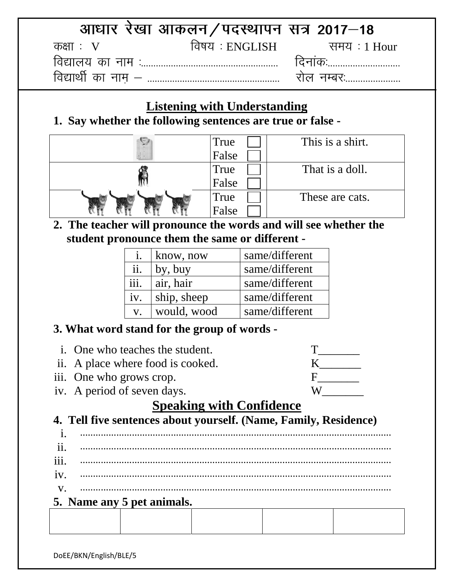|            | आधार रेखा आकलन/पदस्थापन सत्र 2017–18 |            |
|------------|--------------------------------------|------------|
| कक्षा :  V |                                      |            |
|            |                                      |            |
|            |                                      | राल नम्बरः |

# **Listening with Understanding**

**1. Say whether the following sentences are true or false -**

| True  | This is a shirt. |
|-------|------------------|
| False |                  |
| True  | That is a doll.  |
| False |                  |
| True  | These are cats.  |
| False |                  |

**2. The teacher will pronounce the words and will see whether the student pronounce them the same or different -**

|                    | know, now   | same/different |
|--------------------|-------------|----------------|
| ii.                | by, buy     | same/different |
| $\overline{111}$ . | air, hair   | same/different |
| iv.                | ship, sheep | same/different |
| $V_{\rm A}$        | would, wood | same/different |

# **3. What word stand for the group of words -**

|             | <i>i.</i> One who teaches the student.                           |                                 |   |  |  |
|-------------|------------------------------------------------------------------|---------------------------------|---|--|--|
|             | ii. A place where food is cooked.                                |                                 |   |  |  |
|             | iii. One who grows crop.                                         |                                 | F |  |  |
|             | iv. A period of seven days.                                      |                                 | W |  |  |
|             |                                                                  | <b>Speaking with Confidence</b> |   |  |  |
|             | 4. Tell five sentences about yourself. (Name, Family, Residence) |                                 |   |  |  |
|             |                                                                  |                                 |   |  |  |
| ii.         |                                                                  |                                 |   |  |  |
| iii.        |                                                                  |                                 |   |  |  |
| 1V.         |                                                                  |                                 |   |  |  |
| $V_{\rm A}$ |                                                                  |                                 |   |  |  |
|             | 5. Name any 5 pet animals.                                       |                                 |   |  |  |
|             |                                                                  |                                 |   |  |  |
|             |                                                                  |                                 |   |  |  |

DoEE/BKN/English/BLE/5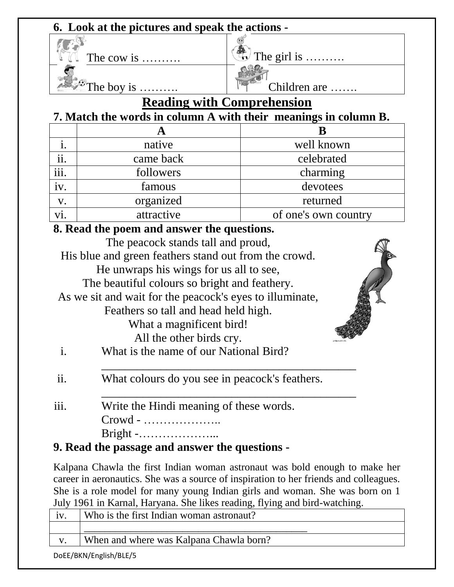### **6. Look at the pictures and speak the actions -**



The cow is  $\ldots$   $\qquad \qquad$  The girl is  $\ldots$ 

The boy is  $\ldots$   $\qquad \qquad$   $\qquad \qquad$   $\qquad \qquad$  Children are  $\ldots$ .

# **Reading with Comprehension**

### **7. Match the words in column A with their meanings in column B.**

|      | native     | well known           |  |
|------|------------|----------------------|--|
| ii.  | came back  | celebrated           |  |
| iii. | followers  | charming             |  |
| iv.  | famous     | devotees             |  |
| V.   | organized  | returned             |  |
|      | attractive | of one's own country |  |

### **8. Read the poem and answer the questions.**

|                | The peacock stands tall and proud,                       |  |
|----------------|----------------------------------------------------------|--|
|                | His blue and green feathers stand out from the crowd.    |  |
|                | He unwraps his wings for us all to see,                  |  |
|                | The beautiful colours so bright and feathery.            |  |
|                | As we sit and wait for the peacock's eyes to illuminate, |  |
|                | Feathers so tall and head held high.                     |  |
|                | What a magnificent bird!                                 |  |
|                | All the other birds cry.                                 |  |
| $\mathbf{i}$ . | What is the name of our National Bird?                   |  |
| ii.            | What colours do you see in peacock's feathers.           |  |
| iii.           | Write the Hindi meaning of these words.                  |  |
|                | $Crowd - \dots \dots \dots \dots \dots \dots$            |  |
|                |                                                          |  |

### **9. Read the passage and answer the questions -**

Kalpana Chawla the first Indian woman astronaut was bold enough to make her career in aeronautics. She was a source of inspiration to her friends and colleagues. She is a role model for many young Indian girls and woman. She was born on 1 July 1961 in Karnal, Haryana. She likes reading, flying and bird-watching.

|              | Who is the first Indian woman astronaut? |
|--------------|------------------------------------------|
|              |                                          |
| $\mathbf{V}$ | When and where was Kalpana Chawla born?  |
|              |                                          |

DoEE/BKN/English/BLE/5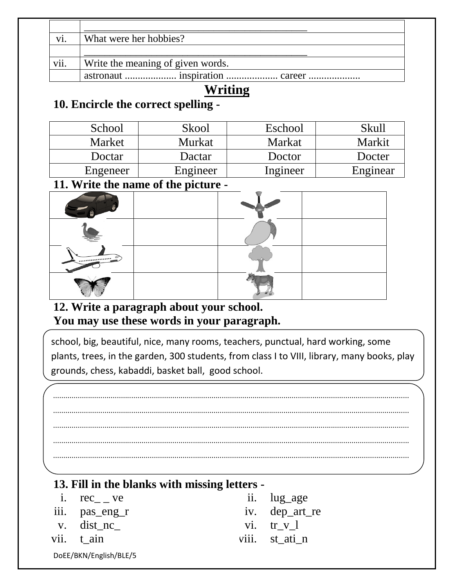| vi.  | What were her hobbies?            |
|------|-----------------------------------|
|      |                                   |
| vii. | Write the meaning of given words. |
|      |                                   |

# **Writing**

# **10. Encircle the correct spelling -**

| School        | Skool         | Eschool       | Skull    |
|---------------|---------------|---------------|----------|
| <b>Market</b> | <b>Murkat</b> | <b>Markat</b> | Markit   |
| Doctar        | Dactar        | Doctor        | Docter   |
| Engeneer      | Engineer      | Ingineer      | Enginear |
|               |               |               |          |

### **11. Write the name of the picture -**

| __<br>__<br>__<br>. |  |  |
|---------------------|--|--|
|                     |  |  |
|                     |  |  |
| E <sub>mmmmmm</sub> |  |  |
|                     |  |  |

### **12. Write a paragraph about your school. You may use these words in your paragraph.**

school, big, beautiful, nice, many rooms, teachers, punctual, hard working, some plants, trees, in the garden, 300 students, from class I to VIII, library, many books, play grounds, chess, kabaddi, basket ball, good school.

............................................................................................................................................................................. ............................................................................................................................................................................. ............................................................................................................................................................................. ............................................................................................................................................................................. .............................................................................................................................................................................

.............................................................................................................................................................................

# **13. Fill in the blanks with missing letters -**

| i. rec ve              | ii. lug_age    |
|------------------------|----------------|
| iii. pas_eng_r         | iv. dep_art_re |
| v. dist_nc_            | $vi.$ tr $v1$  |
| vii. t ain             | viii. st_ati_n |
| DoEE/BKN/English/BLE/5 |                |